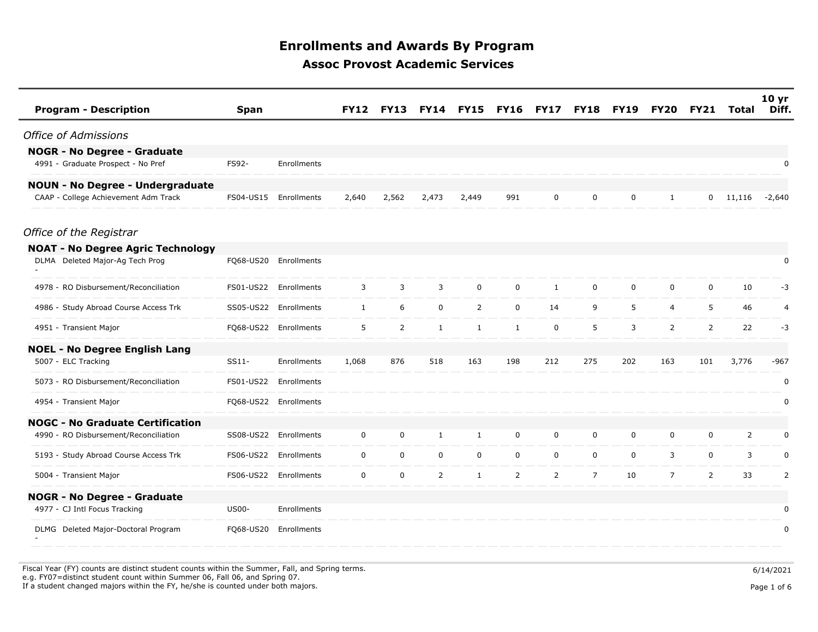| <b>Program - Description</b>             | <b>Span</b>  |                       | <b>FY12</b>  | <b>FY13</b>    | <b>FY14</b>    | <b>FY15</b>    | <b>FY16</b>    | <b>FY17</b>    | <b>FY18</b>    | FY19        | <b>FY20</b>    | <b>FY21</b>    | Total          | 10 <sub>yr</sub><br>Diff. |
|------------------------------------------|--------------|-----------------------|--------------|----------------|----------------|----------------|----------------|----------------|----------------|-------------|----------------|----------------|----------------|---------------------------|
| <b>Office of Admissions</b>              |              |                       |              |                |                |                |                |                |                |             |                |                |                |                           |
| <b>NOGR - No Degree - Graduate</b>       |              |                       |              |                |                |                |                |                |                |             |                |                |                |                           |
| 4991 - Graduate Prospect - No Pref       | FS92-        | Enrollments           |              |                |                |                |                |                |                |             |                |                |                | 0                         |
| <b>NOUN - No Degree - Undergraduate</b>  |              |                       |              |                |                |                |                |                |                |             |                |                |                |                           |
| CAAP - College Achievement Adm Track     | FS04-US15    | Enrollments           | 2,640        | 2,562          | 2,473          | 2,449          | 991            | $\mathbf 0$    | 0              | $\mathbf 0$ | $\mathbf{1}$   | $\overline{0}$ | 11,116         | $-2,640$                  |
| Office of the Registrar                  |              |                       |              |                |                |                |                |                |                |             |                |                |                |                           |
| <b>NOAT - No Degree Agric Technology</b> |              |                       |              |                |                |                |                |                |                |             |                |                |                |                           |
| DLMA Deleted Major-Ag Tech Prog          |              | FQ68-US20 Enrollments |              |                |                |                |                |                |                |             |                |                |                | $\pmb{0}$                 |
| 4978 - RO Disbursement/Reconciliation    |              | FS01-US22 Enrollments | 3            | 3              | 3              | $\mathbf 0$    | $\mathbf 0$    | $\mathbf{1}$   | $\mathbf 0$    | $\mathbf 0$ | 0              | $\mathbf 0$    | 10             | -3                        |
| 4986 - Study Abroad Course Access Trk    |              | SS05-US22 Enrollments | $\mathbf{1}$ | 6              | $\mathbf 0$    | $\overline{2}$ | $\mathbf 0$    | 14             | 9              | 5           | $\overline{4}$ | 5              | 46             | $\overline{4}$            |
| 4951 - Transient Major                   |              | FQ68-US22 Enrollments | 5            | $\overline{2}$ | $\mathbf{1}$   | $\mathbf{1}$   | $\mathbf{1}$   | $\mathbf 0$    | 5              | 3           | $\overline{2}$ | $\overline{2}$ | 22             | $-3$                      |
| <b>NOEL - No Degree English Lang</b>     |              |                       |              |                |                |                |                |                |                |             |                |                |                |                           |
| 5007 - ELC Tracking                      | SS11-        | Enrollments           | 1,068        | 876            | 518            | 163            | 198            | 212            | 275            | 202         | 163            | 101            | 3,776          | $-967$                    |
| 5073 - RO Disbursement/Reconciliation    | FS01-US22    | Enrollments           |              |                |                |                |                |                |                |             |                |                |                | 0                         |
| 4954 - Transient Major                   |              | FQ68-US22 Enrollments |              |                |                |                |                |                |                |             |                |                |                | 0                         |
| <b>NOGC - No Graduate Certification</b>  |              |                       |              |                |                |                |                |                |                |             |                |                |                |                           |
| 4990 - RO Disbursement/Reconciliation    | SS08-US22    | Enrollments           | $\mathbf 0$  | 0              | $\mathbf{1}$   | $\mathbf{1}$   | $\mathbf 0$    | 0              | 0              | 0           | 0              | 0              | $\overline{2}$ | 0                         |
| 5193 - Study Abroad Course Access Trk    | FS06-US22    | Enrollments           | $\mathbf 0$  | $\mathbf 0$    | $\mathbf 0$    | $\mathbf 0$    | $\mathbf 0$    | 0              | 0              | $\mathbf 0$ | 3              | 0              | 3              | 0                         |
| 5004 - Transient Major                   |              | FS06-US22 Enrollments | $\mathbf 0$  | $\mathbf 0$    | $\overline{2}$ | $\mathbf{1}$   | $\overline{2}$ | $\overline{2}$ | $\overline{7}$ | 10          | $\overline{7}$ | $\overline{2}$ | 33             | $\overline{2}$            |
| <b>NOGR - No Degree - Graduate</b>       |              |                       |              |                |                |                |                |                |                |             |                |                |                |                           |
| 4977 - CJ Intl Focus Tracking            | <b>US00-</b> | Enrollments           |              |                |                |                |                |                |                |             |                |                |                | 0                         |
| DLMG Deleted Major-Doctoral Program      | FQ68-US20    | Enrollments           |              |                |                |                |                |                |                |             |                |                |                | 0                         |

Fiscal Year (FY) counts are distinct student counts within the Summer, Fall, and Spring terms.  $6/14/2021$  e.g. FY07=distinct student count within Summer 06, Fall 06, and Spring 07. If a student changed majors within the FY, he/she is counted under both majors. Page 1 of 6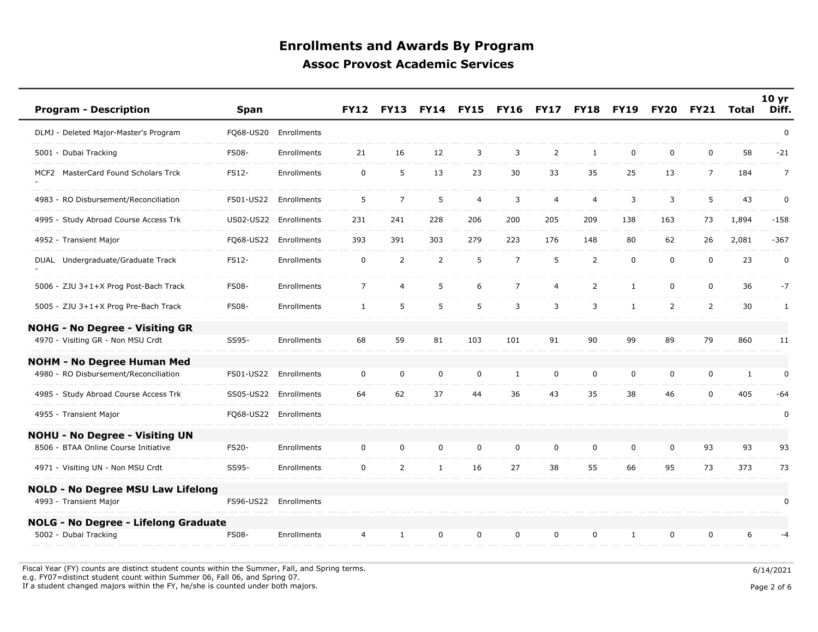| <b>Program - Description</b>                | <b>Span</b>  |                       | <b>FY12</b>    | <b>FY13</b>    | <b>FY14</b>    | <b>FY15</b>    | <b>FY16</b>    | <b>FY17</b>    | <b>FY18</b>    | <b>FY19</b>  | FY <sub>20</sub> | <b>FY21</b>    | Total        | 10 <sub>yr</sub><br>Diff. |
|---------------------------------------------|--------------|-----------------------|----------------|----------------|----------------|----------------|----------------|----------------|----------------|--------------|------------------|----------------|--------------|---------------------------|
| DLMJ - Deleted Major-Master's Program       | FQ68-US20    | Enrollments           |                |                |                |                |                |                |                |              |                  |                |              | $\pmb{0}$                 |
| 5001 - Dubai Tracking                       | <b>FS08-</b> | Enrollments           | 21             | 16             | 12             | 3              | 3              | 2              | $\mathbf{1}$   | $\mathbf 0$  | $\mathbf 0$      | $\mathbf 0$    | 58           | $-21$                     |
| MCF2 MasterCard Found Scholars Trck         | FS12-        | Enrollments           | $\mathbf 0$    | 5              | 13             | 23             | 30             | 33             | 35             | 25           | 13               | $\overline{7}$ | 184          | $\overline{7}$            |
| 4983 - RO Disbursement/Reconciliation       | FS01-US22    | Enrollments           | 5              | $\overline{7}$ | 5              | $\overline{4}$ | 3              | $\overline{4}$ | 4              | 3            | 3                | 5              | 43           | 0                         |
| 4995 - Study Abroad Course Access Trk       | US02-US22    | Enrollments           | 231            | 241            | 228            | 206            | 200            | 205            | 209            | 138          | 163              | 73             | 1,894        | $-158$                    |
| 4952 - Transient Major                      | FQ68-US22    | Enrollments           | 393            | 391            | 303            | 279            | 223            | 176            | 148            | 80           | 62               | 26             | 2,081        | $-367$                    |
| DUAL Undergraduate/Graduate Track           | FS12-        | Enrollments           | $\mathbf 0$    | $\overline{2}$ | $\overline{2}$ | 5              | $\overline{7}$ | 5              | $\overline{2}$ | $\mathbf 0$  | $\mathbf 0$      | $\mathbf 0$    | 23           | 0                         |
| 5006 - ZJU 3+1+X Prog Post-Bach Track       | <b>FS08-</b> | Enrollments           | $\overline{7}$ | 4              | 5              | 6              | $\overline{7}$ | $\overline{4}$ | $\overline{2}$ | $\mathbf{1}$ | $\mathbf 0$      | $\mathbf 0$    | 36           | $-7$                      |
| 5005 - ZJU 3+1+X Prog Pre-Bach Track        | <b>FS08-</b> | Enrollments           | $\mathbf{1}$   | 5              | 5              | 5              | 3              | 3              | 3              | $\mathbf{1}$ | $\overline{2}$   | $\overline{2}$ | 30           | $\mathbf{1}$              |
| <b>NOHG - No Degree - Visiting GR</b>       |              |                       |                |                |                |                |                |                |                |              |                  |                |              |                           |
| 4970 - Visiting GR - Non MSU Crdt           | SS95-        | Enrollments           | 68             | 59             | 81             | 103            | 101            | 91             | 90             | 99           | 89               | 79             | 860          | 11                        |
| <b>NOHM - No Degree Human Med</b>           |              |                       |                |                |                |                |                |                |                |              |                  |                |              |                           |
| 4980 - RO Disbursement/Reconciliation       | FS01-US22    | Enrollments           | $\mathbf 0$    | $\mathsf 0$    | $\mathsf 0$    | $\pmb{0}$      | $\mathbf{1}$   | $\pmb{0}$      | $\mathbf 0$    | $\mathsf 0$  | 0                | $\mathbf 0$    | $\mathbf{1}$ | 0                         |
| 4985 - Study Abroad Course Access Trk       | SS05-US22    | Enrollments           | 64             | 62             | 37             | 44             | 36             | 43             | 35             | 38           | 46               | $\mathbf 0$    | 405          | -64                       |
| 4955 - Transient Major                      |              | FQ68-US22 Enrollments |                |                |                |                |                |                |                |              |                  |                |              | 0                         |
| <b>NOHU - No Degree - Visiting UN</b>       |              |                       |                |                |                |                |                |                |                |              |                  |                |              |                           |
| 8506 - BTAA Online Course Initiative        | FS20-        | Enrollments           | $\mathbf 0$    | 0              | 0              | 0              | $\Omega$       | $\mathbf 0$    | $\mathbf 0$    | $\mathbf 0$  | $\mathbf 0$      | 93             | 93           | 93                        |
| 4971 - Visiting UN - Non MSU Crdt           | SS95-        | Enrollments           | $\mathbf 0$    | $\overline{2}$ | $\mathbf{1}$   | 16             | 27             | 38             | 55             | 66           | 95               | 73             | 373          | 73                        |
| <b>NOLD - No Degree MSU Law Lifelong</b>    |              |                       |                |                |                |                |                |                |                |              |                  |                |              |                           |
| 4993 - Transient Major                      | FS96-US22    | Enrollments           |                |                |                |                |                |                |                |              |                  |                |              | $\pmb{0}$                 |
| <b>NOLG - No Degree - Lifelong Graduate</b> |              |                       |                |                |                |                |                |                |                |              |                  |                |              |                           |
| 5002 - Dubai Tracking                       | <b>FS08-</b> | Enrollments           | 4              | $\mathbf{1}$   | 0              | $\mathbf 0$    | $\mathbf 0$    | $\mathbf 0$    | 0              | 1            | $\mathbf 0$      | 0              | 6            | $-4$                      |

Fiscal Year (FY) counts are distinct student counts within the Summer, Fall, and Spring terms.  $6/14/2021$ e.g. FY07=distinct student count within Summer 06, Fall 06, and Spring 07.

If a student changed majors within the FY, he/she is counted under both majors. Page 2 of 6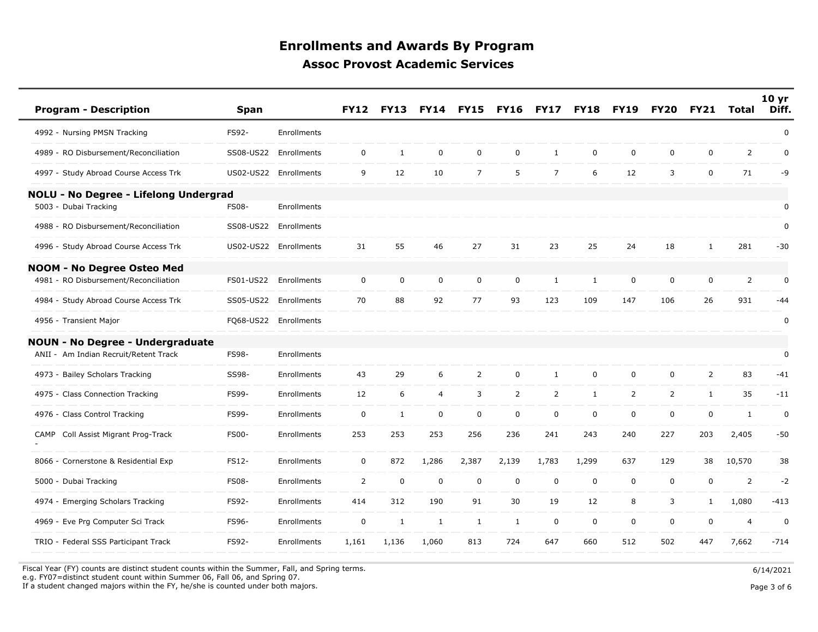| <b>Program - Description</b>            | <b>Span</b>  |                       | <b>FY12</b>    | <b>FY13</b>  | <b>FY14</b>    | <b>FY15</b>    | <b>FY16</b>    | <b>FY17</b>    | <b>FY18</b>  | <b>FY19</b>    | <b>FY20</b>    | <b>FY21</b>    | Total          | 10 <sub>yr</sub><br>Diff. |
|-----------------------------------------|--------------|-----------------------|----------------|--------------|----------------|----------------|----------------|----------------|--------------|----------------|----------------|----------------|----------------|---------------------------|
| 4992 - Nursing PMSN Tracking            | FS92-        | <b>Enrollments</b>    |                |              |                |                |                |                |              |                |                |                |                | 0                         |
| 4989 - RO Disbursement/Reconciliation   | SS08-US22    | Enrollments           | $\mathbf 0$    | $\mathbf{1}$ | $\mathbf 0$    | $\mathbf 0$    | 0              | $\mathbf{1}$   | $\mathbf 0$  | $\mathbf 0$    | $\mathbf 0$    | 0              | $\overline{2}$ | 0                         |
| 4997 - Study Abroad Course Access Trk   | US02-US22    | Enrollments           | 9              | 12           | 10             | $\overline{7}$ | 5              | $\overline{7}$ | 6            | 12             | 3              | $\mathbf 0$    | 71             | -9                        |
| NOLU - No Degree - Lifelong Undergrad   |              |                       |                |              |                |                |                |                |              |                |                |                |                |                           |
| 5003 - Dubai Tracking                   | <b>FS08-</b> | Enrollments           |                |              |                |                |                |                |              |                |                |                |                | 0                         |
| 4988 - RO Disbursement/Reconciliation   | SS08-US22    | Enrollments           |                |              |                |                |                |                |              |                |                |                |                | $\pmb{0}$                 |
| 4996 - Study Abroad Course Access Trk   |              | US02-US22 Enrollments | 31             | 55           | 46             | 27             | 31             | 23             | 25           | 24             | 18             | $\mathbf{1}$   | 281            | $-30$                     |
| <b>NOOM - No Degree Osteo Med</b>       |              |                       |                |              |                |                |                |                |              |                |                |                |                |                           |
| 4981 - RO Disbursement/Reconciliation   | FS01-US22    | Enrollments           | $\mathbf 0$    | 0            | $\mathbf 0$    | $\mathbf 0$    | $\mathbf 0$    | $\mathbf{1}$   | $\mathbf{1}$ | $\mathbf 0$    | $\mathbf 0$    | $\mathbf 0$    | 2              | 0                         |
| 4984 - Study Abroad Course Access Trk   | SS05-US22    | Enrollments           | 70             | 88           | 92             | 77             | 93             | 123            | 109          | 147            | 106            | 26             | 931            | -44                       |
| 4956 - Transient Major                  |              | FQ68-US22 Enrollments |                |              |                |                |                |                |              |                |                |                |                | $\pmb{0}$                 |
| <b>NOUN - No Degree - Undergraduate</b> |              |                       |                |              |                |                |                |                |              |                |                |                |                |                           |
| ANII - Am Indian Recruit/Retent Track   | FS98-        | Enrollments           |                |              |                |                |                |                |              |                |                |                |                | 0                         |
| 4973 - Bailey Scholars Tracking         | SS98-        | Enrollments           | 43             | 29           | 6              | $\overline{2}$ | $\mathsf{O}$   | $\mathbf{1}$   | $\mathbf 0$  | $\mathsf 0$    | $\mathbf 0$    | $\overline{2}$ | 83             | $-41$                     |
| 4975 - Class Connection Tracking        | FS99-        | Enrollments           | 12             | 6            | $\overline{4}$ | 3              | $\overline{2}$ | $\overline{2}$ | $\mathbf{1}$ | $\overline{2}$ | $\overline{2}$ | $\mathbf{1}$   | 35             | $-11$                     |
| 4976 - Class Control Tracking           | FS99-        | Enrollments           | $\mathsf{O}$   | 1            | $\mathbf 0$    | $\mathbf 0$    | $\mathbf 0$    | $\pmb{0}$      | $\mathbf 0$  | $\mathbf 0$    | $\mathbf 0$    | 0              | $\mathbf{1}$   | 0                         |
| CAMP Coll Assist Migrant Prog-Track     | <b>FS00-</b> | Enrollments           | 253            | 253          | 253            | 256            | 236            | 241            | 243          | 240            | 227            | 203            | 2,405          | $-50$                     |
| 8066 - Cornerstone & Residential Exp    | FS12-        | Enrollments           | $\mathbf 0$    | 872          | 1,286          | 2,387          | 2,139          | 1,783          | 1,299        | 637            | 129            | 38             | 10,570         | 38                        |
| 5000 - Dubai Tracking                   | <b>FS08-</b> | Enrollments           | $\overline{2}$ | $\mathbf 0$  | $\mathbf 0$    | $\mathbf 0$    | $\mathbf 0$    | $\mathbf 0$    | $\mathbf 0$  | $\mathbf 0$    | $\mathbf 0$    | $\mathbf 0$    | $\overline{2}$ | $-2$                      |
| 4974 - Emerging Scholars Tracking       | FS92-        | Enrollments           | 414            | 312          | 190            | 91             | 30             | 19             | 12           | 8              | 3              | $\mathbf{1}$   | 1,080          | $-413$                    |
| 4969 - Eve Prg Computer Sci Track       | FS96-        | Enrollments           | $\mathbf 0$    | $\mathbf{1}$ | $\mathbf{1}$   | $\mathbf{1}$   | $\mathbf{1}$   | $\mathbf 0$    | 0            | $\mathbf 0$    | $\mathbf 0$    | $\mathbf 0$    | $\overline{4}$ | $\mathbf 0$               |
| TRIO - Federal SSS Participant Track    | FS92-        | Enrollments           | 1,161          | 1,136        | 1,060          | 813            | 724            | 647            | 660          | 512            | 502            | 447            | 7,662          | $-714$                    |

Fiscal Year (FY) counts are distinct student counts within the Summer, Fall, and Spring terms.

e.g. FY07=distinct student count within Summer 06, Fall 06, and Spring 07.

If a student changed majors within the FY, he/she is counted under both majors.

Page 3 of 6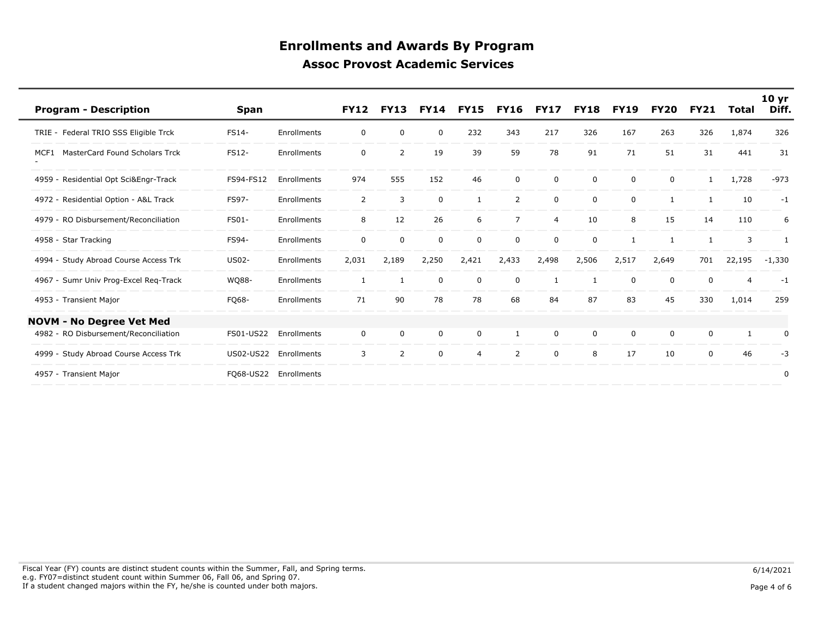| <b>Program - Description</b>                  | <b>Span</b>  |             | <b>FY12</b>    | <b>FY13</b>  | <b>FY14</b> | <b>FY15</b>    | <b>FY16</b>    | <b>FY17</b>    | <b>FY18</b> | <b>FY19</b> | <b>FY20</b> | <b>FY21</b>  | Total        | 10 <sub>yr</sub><br>Diff. |
|-----------------------------------------------|--------------|-------------|----------------|--------------|-------------|----------------|----------------|----------------|-------------|-------------|-------------|--------------|--------------|---------------------------|
| TRIE - Federal TRIO SSS Eligible Trck         | FS14-        | Enrollments | 0              | 0            | 0           | 232            | 343            | 217            | 326         | 167         | 263         | 326          | 1,874        | 326                       |
| <b>MasterCard Found Scholars Trck</b><br>MCF1 | FS12-        | Enrollments | $\mathbf 0$    | 2            | 19          | 39             | 59             | 78             | 91          | 71          | 51          | 31           | 441          | 31                        |
| Residential Opt Sci&Engr-Track<br>4959 -      | FS94-FS12    | Enrollments | 974            | 555          | 152         | 46             | $\mathbf{0}$   | 0              | 0           | $\mathbf 0$ | $\Omega$    | $\mathbf{1}$ | 1,728        | $-973$                    |
| 4972 - Residential Option - A&L Track         | FS97-        | Enrollments | $\overline{2}$ | 3            | $\mathbf 0$ | 1              | $\overline{2}$ | 0              | $\mathbf 0$ | $\mathbf 0$ |             | 1            | 10           | $-1$                      |
| 4979 - RO Disbursement/Reconciliation         | <b>FS01-</b> | Enrollments | 8              | 12           | 26          | 6              | $\overline{7}$ | $\overline{4}$ | 10          | 8           | 15          | 14           | 110          | 6                         |
| 4958 - Star Tracking                          | <b>FS94-</b> | Enrollments | $\mathbf 0$    | $\mathbf 0$  | $\mathbf 0$ | $\mathbf 0$    | $\Omega$       | $\Omega$       | $\mathbf 0$ | 1           |             | -1           | 3            | $\mathbf{1}$              |
| 4994 - Study Abroad Course Access Trk         | <b>US02-</b> | Enrollments | 2,031          | 2,189        | 2,250       | 2,421          | 2,433          | 2,498          | 2,506       | 2,517       | 2,649       | 701          | 22,195       | $-1,330$                  |
| 4967 - Sumr Univ Prog-Excel Reg-Track         | WQ88-        | Enrollments | 1              | $\mathbf{1}$ | 0           | 0              | $\Omega$       | $\mathbf{1}$   |             | 0           | 0           | $\Omega$     | 4            | $-1$                      |
| 4953 - Transient Major                        | FQ68-        | Enrollments | 71             | 90           | 78          | 78             | 68             | 84             | 87          | 83          | 45          | 330          | 1,014        | 259                       |
| <b>NOVM - No Degree Vet Med</b>               |              |             |                |              |             |                |                |                |             |             |             |              |              |                           |
| 4982 - RO Disbursement/Reconciliation         | FS01-US22    | Enrollments | $\mathbf 0$    | 0            | $\mathbf 0$ | 0              | 1              | 0              | $\mathbf 0$ | 0           | $\Omega$    | 0            | $\mathbf{1}$ | 0                         |
| Study Abroad Course Access Trk<br>4999        | US02-US22    | Enrollments | 3              | 2            | $\mathbf 0$ | $\overline{4}$ | 2              | 0              | 8           | 17          | 10          | 0            | 46           | $-3$                      |
| 4957 - Transient Major                        | FQ68-US22    | Enrollments |                |              |             |                |                |                |             |             |             |              |              | 0                         |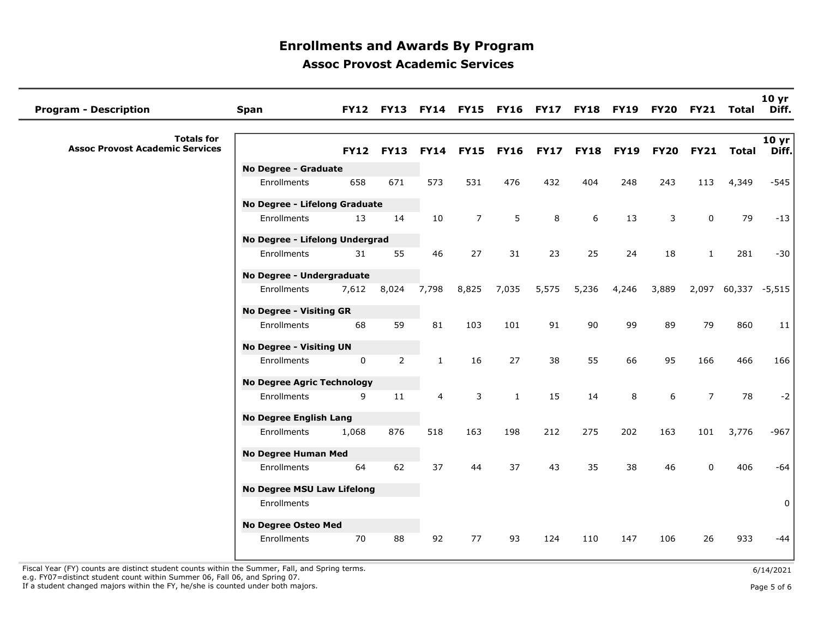| <b>Program - Description</b>                                | <b>Span</b>                                  |             | <b>FY12 FY13</b> |                |                  |              |             |             |             | FY14 FY15 FY16 FY17 FY18 FY19 FY20 FY21 Total |                |                     | 10 <sub>yr</sub><br>Diff.           |
|-------------------------------------------------------------|----------------------------------------------|-------------|------------------|----------------|------------------|--------------|-------------|-------------|-------------|-----------------------------------------------|----------------|---------------------|-------------------------------------|
| <b>Totals for</b><br><b>Assoc Provost Academic Services</b> |                                              | <b>FY12</b> | <b>FY13</b>      |                | <b>FY14 FY15</b> | <b>FY16</b>  | <b>FY17</b> | <b>FY18</b> | <b>FY19</b> | <b>FY20</b>                                   |                | FY21 Total          | $\overline{10}$ yr $\vert$<br>Diff. |
|                                                             | No Degree - Graduate                         |             |                  |                |                  |              |             |             |             |                                               |                |                     |                                     |
|                                                             | Enrollments                                  | 658         | 671              | 573            | 531              | 476          | 432         | 404         | 248         | 243                                           | 113            | 4,349               | $-545$                              |
|                                                             | No Degree - Lifelong Graduate                |             |                  |                |                  |              |             |             |             |                                               |                |                     |                                     |
|                                                             | Enrollments                                  | 13          | 14               | 10             | $\overline{7}$   | 5            | 8           | 6           | 13          | 3                                             | $\mathbf 0$    | 79                  | $-13$                               |
|                                                             | No Degree - Lifelong Undergrad               |             |                  |                |                  |              |             |             |             |                                               |                |                     |                                     |
|                                                             | Enrollments                                  | 31          | 55               | 46             | 27               | 31           | 23          | 25          | 24          | 18                                            | $\mathbf{1}$   | 281                 | $-30$                               |
|                                                             |                                              |             |                  |                |                  |              |             |             |             |                                               |                |                     |                                     |
|                                                             | No Degree - Undergraduate                    |             |                  |                |                  |              |             |             |             |                                               |                |                     |                                     |
|                                                             | Enrollments                                  | 7,612       | 8,024            | 7,798          | 8,825            | 7,035        | 5,575       | 5,236       | 4,246       | 3,889                                         |                | 2,097 60,337 -5,515 |                                     |
|                                                             | <b>No Degree - Visiting GR</b>               |             |                  |                |                  |              |             |             |             |                                               |                |                     |                                     |
|                                                             | Enrollments                                  | 68          | 59               | 81             | 103              | 101          | 91          | 90          | 99          | 89                                            | 79             | 860                 | 11                                  |
|                                                             | <b>No Degree - Visiting UN</b>               |             |                  |                |                  |              |             |             |             |                                               |                |                     |                                     |
|                                                             | Enrollments                                  | 0           | $\overline{2}$   | $\mathbf{1}$   | 16               | 27           | 38          | 55          | 66          | 95                                            | 166            | 466                 | 166                                 |
|                                                             | <b>No Degree Agric Technology</b>            |             |                  |                |                  |              |             |             |             |                                               |                |                     |                                     |
|                                                             | Enrollments                                  | 9           | 11               | $\overline{4}$ | 3                | $\mathbf{1}$ | 15          | 14          | 8           | 6                                             | $\overline{7}$ | 78                  | $-2$                                |
|                                                             |                                              |             |                  |                |                  |              |             |             |             |                                               |                |                     |                                     |
|                                                             | <b>No Degree English Lang</b><br>Enrollments | 1,068       | 876              | 518            | 163              | 198          | 212         | 275         | 202         | 163                                           | 101            | 3,776               | $-967$                              |
|                                                             |                                              |             |                  |                |                  |              |             |             |             |                                               |                |                     |                                     |
|                                                             | <b>No Degree Human Med</b>                   |             |                  |                |                  |              |             |             |             |                                               |                |                     |                                     |
|                                                             | Enrollments                                  | 64          | 62               | 37             | 44               | 37           | 43          | 35          | 38          | 46                                            | $\mathbf{0}$   | 406                 | $-64$                               |
|                                                             | <b>No Degree MSU Law Lifelong</b>            |             |                  |                |                  |              |             |             |             |                                               |                |                     |                                     |
|                                                             | Enrollments                                  |             |                  |                |                  |              |             |             |             |                                               |                |                     | $\mathbf 0$                         |
|                                                             | No Degree Osteo Med                          |             |                  |                |                  |              |             |             |             |                                               |                |                     |                                     |
|                                                             | Enrollments                                  | 70          | 88               | 92             | 77               | 93           | 124         | 110         | 147         | 106                                           | 26             | 933                 | $-44$                               |
|                                                             |                                              |             |                  |                |                  |              |             |             |             |                                               |                |                     |                                     |

Fiscal Year (FY) counts are distinct student counts within the Summer, Fall, and Spring terms.<br>e.g. FY07=distinct student count within Summer 06, Fall 06, and Spring 07. If a student changed majors within the FY, he/she is counted under both majors. Page 5 of 6